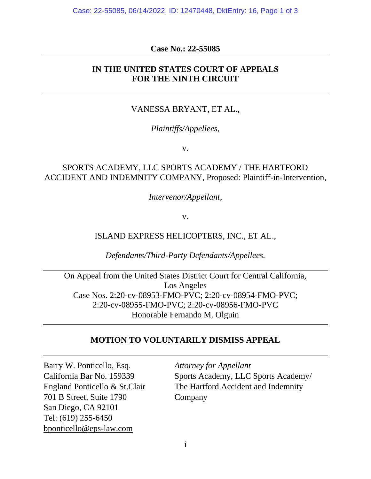Case: 22-55085, 06/14/2022, ID: 12470448, DktEntry: 16, Page 1 of 3

#### **Case No.: 22-55085**

### **IN THE UNITED STATES COURT OF APPEALS FOR THE NINTH CIRCUIT**

## VANESSA BRYANT, ET AL.,

#### *Plaintiffs/Appellees,*

v.

# SPORTS ACADEMY, LLC SPORTS ACADEMY / THE HARTFORD ACCIDENT AND INDEMNITY COMPANY, Proposed: Plaintiff-in-Intervention,

*Intervenor/Appellant,*

v.

#### ISLAND EXPRESS HELICOPTERS, INC., ET AL.,

*Defendants/Third-Party Defendants/Appellees.*

On Appeal from the United States District Court for Central California, Los Angeles Case Nos. 2:20-cv-08953-FMO-PVC; 2:20-cv-08954-FMO-PVC; 2:20-cv-08955-FMO-PVC; 2:20-cv-08956-FMO-PVC Honorable Fernando M. Olguin

## **MOTION TO VOLUNTARILY DISMISS APPEAL**

Barry W. Ponticello, Esq. *Attorney for Appellant* 701 B Street, Suite 1790 Company San Diego, CA 92101 Tel: (619) 255-6450 bponticello@eps-law.com

California Bar No. 159339 Sports Academy, LLC Sports Academy/ England Ponticello & St.Clair The Hartford Accident and Indemnity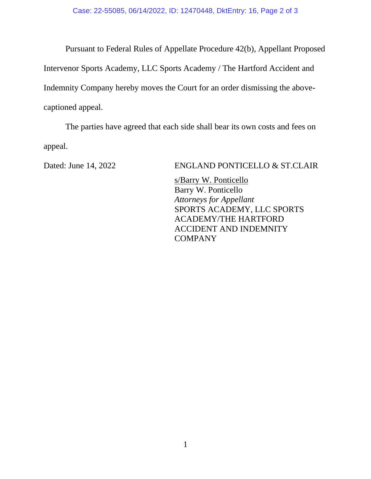Pursuant to Federal Rules of Appellate Procedure 42(b), Appellant Proposed Intervenor Sports Academy, LLC Sports Academy / The Hartford Accident and Indemnity Company hereby moves the Court for an order dismissing the abovecaptioned appeal.

The parties have agreed that each side shall bear its own costs and fees on appeal.

#### Dated: June 14, 2022 ENGLAND PONTICELLO & ST.CLAIR

s/Barry W. Ponticello Barry W. Ponticello *Attorneys for Appellant* SPORTS ACADEMY, LLC SPORTS ACADEMY/THE HARTFORD ACCIDENT AND INDEMNITY COMPANY